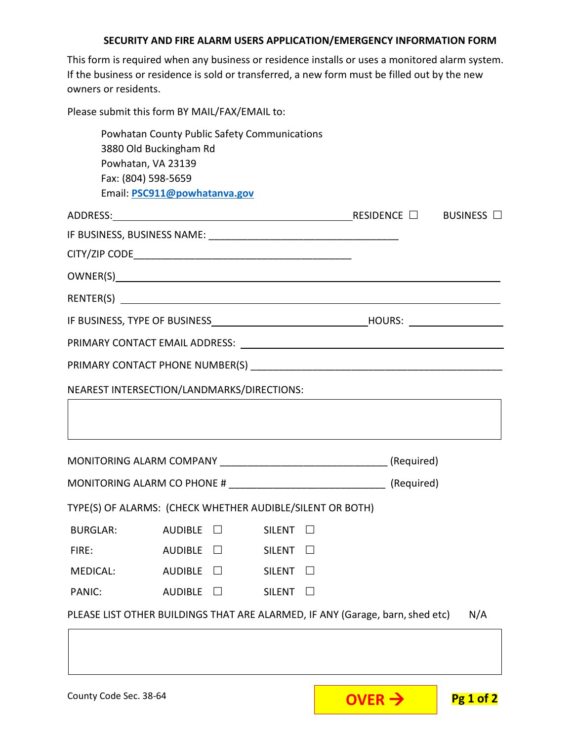## **SECURITY AND FIRE ALARM USERS APPLICATION/EMERGENCY INFORMATION FORM**

This form is required when any business or residence installs or uses a monitored alarm system. If the business or residence is sold or transferred, a new form must be filled out by the new owners or residents.

Please submit this form BY MAIL/FAX/EMAIL to:

|                 | Powhatan County Public Safety Communications<br>3880 Old Buckingham Rd<br>Powhatan, VA 23139 |                               |     |
|-----------------|----------------------------------------------------------------------------------------------|-------------------------------|-----|
|                 | Fax: (804) 598-5659<br>Email: PSC911@powhatanva.gov                                          |                               |     |
|                 |                                                                                              |                               |     |
|                 |                                                                                              |                               |     |
|                 |                                                                                              |                               |     |
|                 |                                                                                              |                               |     |
|                 |                                                                                              |                               |     |
|                 |                                                                                              |                               |     |
|                 |                                                                                              |                               |     |
|                 |                                                                                              |                               |     |
|                 | NEAREST INTERSECTION/LANDMARKS/DIRECTIONS:                                                   |                               |     |
|                 |                                                                                              |                               |     |
|                 |                                                                                              |                               |     |
|                 |                                                                                              |                               |     |
|                 |                                                                                              |                               |     |
|                 | TYPE(S) OF ALARMS: (CHECK WHETHER AUDIBLE/SILENT OR BOTH)                                    |                               |     |
| <b>BURGLAR:</b> | $\mathsf{AUDIBLE} \quad \Box \qquad \qquad \mathsf{SILENT} \quad \Box$                       |                               |     |
| FIRE:           | <b>AUDIBLE</b>                                                                               | <b>SILENT</b><br>$\mathsf{L}$ |     |
| <b>MEDICAL:</b> | <b>AUDIBLE</b>                                                                               | <b>SILENT</b>                 |     |
| PANIC:          | <b>AUDIBLE</b>                                                                               | <b>SILENT</b>                 |     |
|                 | PLEASE LIST OTHER BUILDINGS THAT ARE ALARMED, IF ANY (Garage, barn, shed etc)                |                               | N/A |
|                 |                                                                                              |                               |     |
|                 |                                                                                              |                               |     |
|                 |                                                                                              |                               |     |